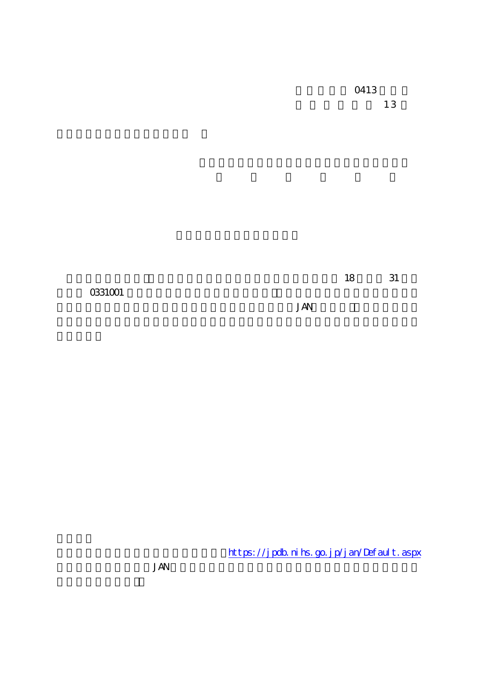**JAN** 

https://jpdb.nihs.go.jp/jan/Default.aspx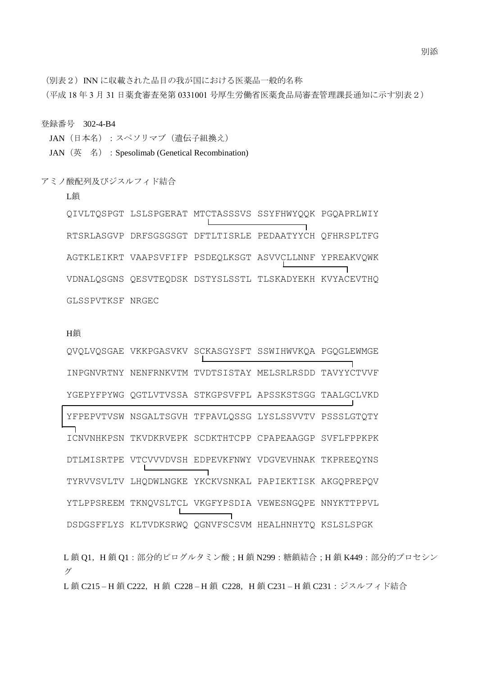(別表2) INN に収載された品目の我が国における医薬品一般的名称

登録番号 302-4-B4

L鎖

アミノ酸配列及びジスルフィド結合

JAN (日本名):スペソリマブ(遺伝子組換え)

JAN (英名): Spesolimab (Genetical Recombination)

(平成 18 年 3 月 31 日薬食審査発第 0331001 号厚生労働省医薬食品局審査管理課長通知に示す別表2)

RTSRLASGVP DRFSGSGSGT DFTLTISRLE PEDAATYYCH QFHRSPLTFG AGTKLEIKRT VAAPSVFIFP PSDEQLKSGT ASVVCLLNNF YPREAKVQWK VDNALQSGNS QESVTEQDSK DSTYSLSSTL TLSKADYEKH KVYACEVTHQ GLSSPVTKSF NRGEC

QIVLTQSPGT LSLSPGERAT MTCTASSSVS SSYFHWYQQK PGQAPRLWIY

## H鎖

QVQLVQSGAE VKKPGASVKV SCKASGYSFT SSWIHWVKQA PGQGLEWMGE INPGNVRTNY NENFRNKVTM TVDTSISTAY MELSRLRSDD TAVYYCTVVF YGEPYFPYWG QGTLVTVSSA STKGPSVFPL APSSKSTSGG TAALGCLVKD YFPEPVTVSW NSGALTSGVH TFPAVLQSSG LYSLSSVVTV PSSSLGTQTY ICNVNHKPSN TKVDKRVEPK SCDKTHTCPP CPAPEAAGGP SVFLFPPKPK DTLMISRTPE VTCVVVDVSH EDPEVKFNWY VDGVEVHNAK TKPREEQYNS TYRVVSVLTV LHQDWLNGKE YKCKVSNKAL PAPIEKTISK AKGQPREPQV YTLPPSREEM TKNQVSLTCL VKGFYPSDIA VEWESNGQPE NNYKTTPPVL DSDGSFFLYS KLTVDKSRWQ QGNVFSCSVM HEALHNHYTQ KSLSLSPGK

L鎖 Q1, H鎖 Q1:部分的ピログルタミン酸;H鎖 N299:糖鎖結合;H鎖 K449:部分的プロセシン グ L鎖 C215-H鎖 C222, H鎖 C228-H鎖 C228, H鎖 C231-H鎖 C231:ジスルフィド結合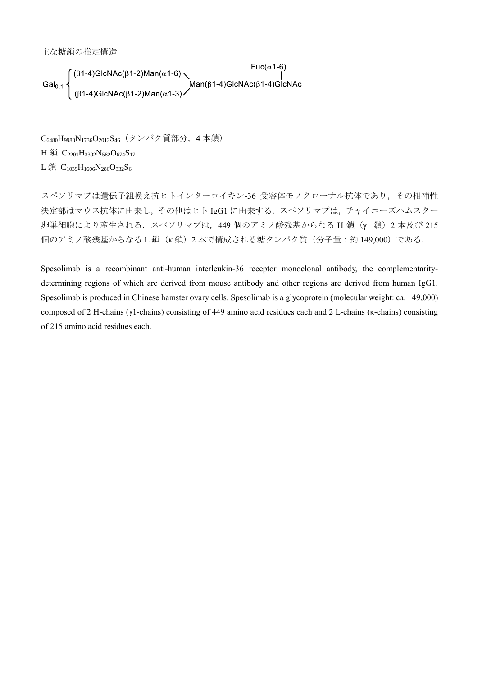主な糖鎖の推定構造

$$
Gal_{0,1}\left\{\begin{array}{l}(\beta 1-4)GlcNAc(\beta 1-2)Man(\alpha 1-6)\\|\\( \beta 1-4)GlcNAc(\beta 1-2)Man(\alpha 1-3)\end{array}\right.\qquad Man(\beta 1-4)GlcNAc(\beta 1-4)GlcNAc(\beta 1-4)Gal_{0,1}.
$$

C6480H9988N1736O2012S46(タンパク質部分,4 本鎖) H 鎖 C<sub>2201</sub>H<sub>3392</sub>N<sub>582</sub>O<sub>674</sub>S<sub>17</sub> L鎖 C<sub>1039</sub>H<sub>1606</sub>N<sub>286</sub>O<sub>332</sub>S<sub>6</sub>

スペソリマブは遺伝子組換え抗ヒトインターロイキン-36 受容体モノクローナル抗体であり,その相補性 決定部はマウス抗体に由来し,その他はヒト IgG1 に由来する.スペソリマブは,チャイニーズハムスター 卵巣細胞により産生される. スペソリマブは、449 個のアミノ酸残基からなる H 鎖 (γ1 鎖) 2 本及び 215 個のアミノ酸残基からなる L 鎖(κ 鎖)2 本で構成される糖タンパク質(分子量:約 149,000)である.

Spesolimab is a recombinant anti-human interleukin-36 receptor monoclonal antibody, the complementaritydetermining regions of which are derived from mouse antibody and other regions are derived from human IgG1. Spesolimab is produced in Chinese hamster ovary cells. Spesolimab is a glycoprotein (molecular weight: ca. 149,000) composed of 2 H-chains (γ1-chains) consisting of 449 amino acid residues each and 2 L-chains (κ-chains) consisting of 215 amino acid residues each.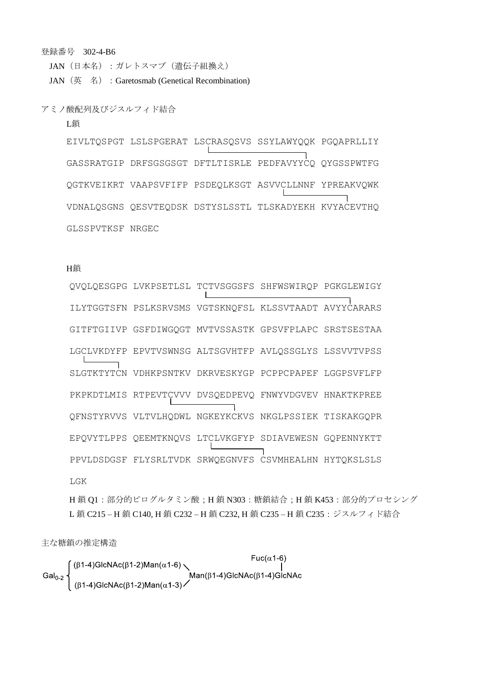登録番号 302-4-B6

JAN (日本名):ガレトスマブ (遺伝子組換え)

JAN (英名) : Garetosmab (Genetical Recombination)

アミノ酸配列及びジスルフィド結合

L鎖

EIVLTQSPGT LSLSPGERAT LSCRASQSVS SSYLAWYQQK PGQAPRLLIY GASSRATGIP DRFSGSGSGT DFTLTISRLE PEDFAVYYCO OYGSSPWTFG QGTKVEIKRT VAAPSVFIFP PSDEQLKSGT ASVVCLLNNF YPREAKVQWK VDNALQSGNS QESVTEQDSK DSTYSLSSTL TLSKADYEKH KVYACEVTHQ GLSSPVTKSF NRGEC

## H鎖

OVOLOESGPG LVKPSETLSL TCTVSGGSFS SHFWSWIROP PGKGLEWIGY ILYTGGTSFN PSLKSRVSMS VGTSKNOFSL KLSSVTAADT AVYYCARARS GITFTGIIVP GSFDIWGOGT MVTVSSASTK GPSVFPLAPC SRSTSESTAA LGCLVKDYFP EPVTVSWNSG ALTSGVHTFP AVLOSSGLYS LSSVVTVPSS SLGTKTYTCN VDHKPSNTKV DKRVESKYGP PCPPCPAPEF LGGPSVFLFP PKPKDTLMIS RTPEVTCVVV DVSQEDPEVQ FNWYVDGVEV HNAKTKPREE OFNSTYRVVS VLTVLHODWL NGKEYKCKVS NKGLPSSIEK TISKAKGOPR EPQVYTLPPS QEEMTKNQVS LTCLVKGFYP SDIAVEWESN GQPENNYKTT PPVLDSDGSF FLYSRLTVDK SRWQEGNVFS CSVMHEALHN HYTQKSLSLS LGK

H鎖 O1:部分的ピログルタミン酸; H鎖 N303:糖鎖結合; H鎖 K453:部分的プロセシング L鎖 C215-H鎖 C140, H鎖 C232-H鎖 C232, H鎖 C235-H鎖 C235: ジスルフィド結合

主な糖鎖の推定構造

 $Fuc(\alpha 1-6)$ Gal<sub>0-2</sub>  $\begin{cases} (\beta 1-4)Gl cNAc(\beta 1-2)Man(\alpha 1-6) \longrightarrow Man(\beta 1-4)Gl cNAc(\beta 1-4)Gl cNAc(\beta 1-4)Gl cNAc(\beta 1-2)Man(\alpha 1-3) \end{cases}$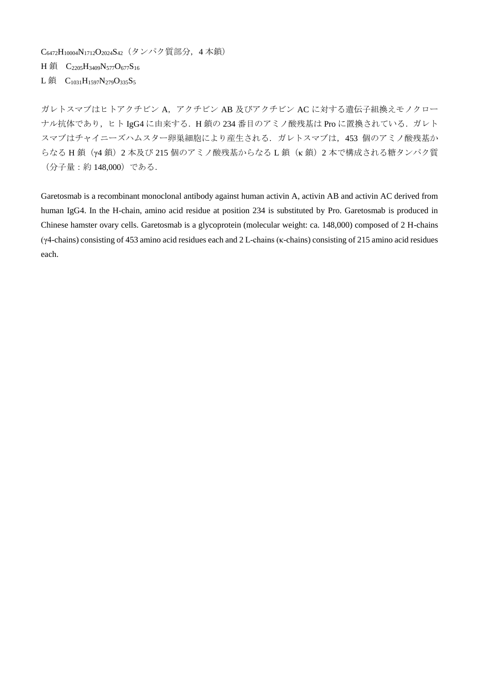C6472H10004N1712O2024S42(タンパク質部分,4 本鎖) H 鎖 C<sub>2205</sub>H<sub>3409</sub>N<sub>577</sub>O<sub>677</sub>S<sub>16</sub> L鎖  $C_{1031}H_{1597}N_{279}O_{335}S_5$ 

ガレトスマブはヒトアクチビンA,アクチビンAB及びアクチビンACに対する遺伝子組換えモノクロー ナル抗体であり,ヒト IgG4 に由来する. H鎖の 234 番目のアミノ酸残基は Pro に置換されている. ガレト スマブはチャイニーズハムスター卵巣細胞により産生される. ガレトスマブは、453 個のアミノ酸残基か らなる H 鎖 (y4 鎖) 2 本及び 215 個のアミノ酸残基からなる L 鎖 (κ 鎖) 2 本で構成される糖タンパク質 (分子量:約 148,000)である.

Garetosmab is a recombinant monoclonal antibody against human activin A, activin AB and activin AC derived from human IgG4. In the H-chain, amino acid residue at position 234 is substituted by Pro. Garetosmab is produced in Chinese hamster ovary cells. Garetosmab is a glycoprotein (molecular weight: ca. 148,000) composed of 2 H-chains (γ4-chains) consisting of 453 amino acid residues each and 2 L-chains (κ-chains) consisting of 215 amino acid residues each.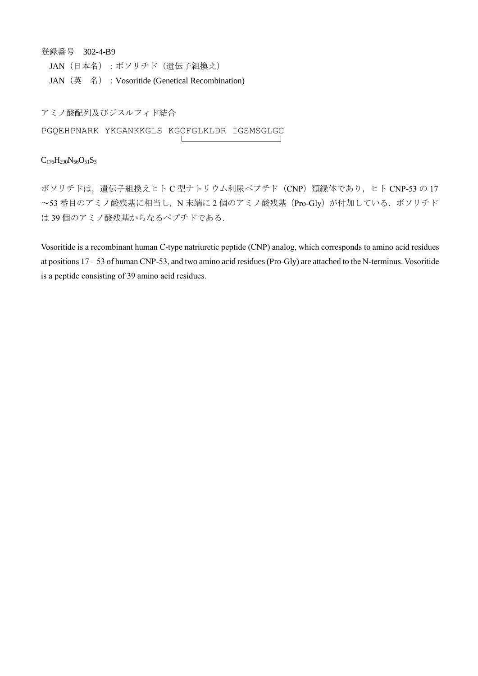登録番号 302-4-B9

JAN (日本名):ボソリチド(遺伝子組換え)

JAN (英 名) : Vosoritide (Genetical Recombination)

アミノ酸配列及びジスルフィド結合 PGQEHPNARK YKGANKKGLS KGCFGLKLDR IGSMSGLGC

## $C_{176}H_{290}N_{56}O_{51}S_3$

ボソリチドは、遺伝子組換えヒトC型ナトリウム利尿ペプチド (CNP) 類縁体であり、ヒト CNP-53 の 17 ~53 番目のアミノ酸残基に相当し, N 末端に 2 個のアミノ酸残基 (Pro-Gly) が付加している. ボソリチド は 39 個のアミノ酸残基からなるペプチドである.

Vosoritide is a recombinant human C-type natriuretic peptide (CNP) analog, which corresponds to amino acid residues at positions 17 – 53 of human CNP-53, and two amino acid residues (Pro-Gly) are attached to the N-terminus. Vosoritide is a peptide consisting of 39 amino acid residues.